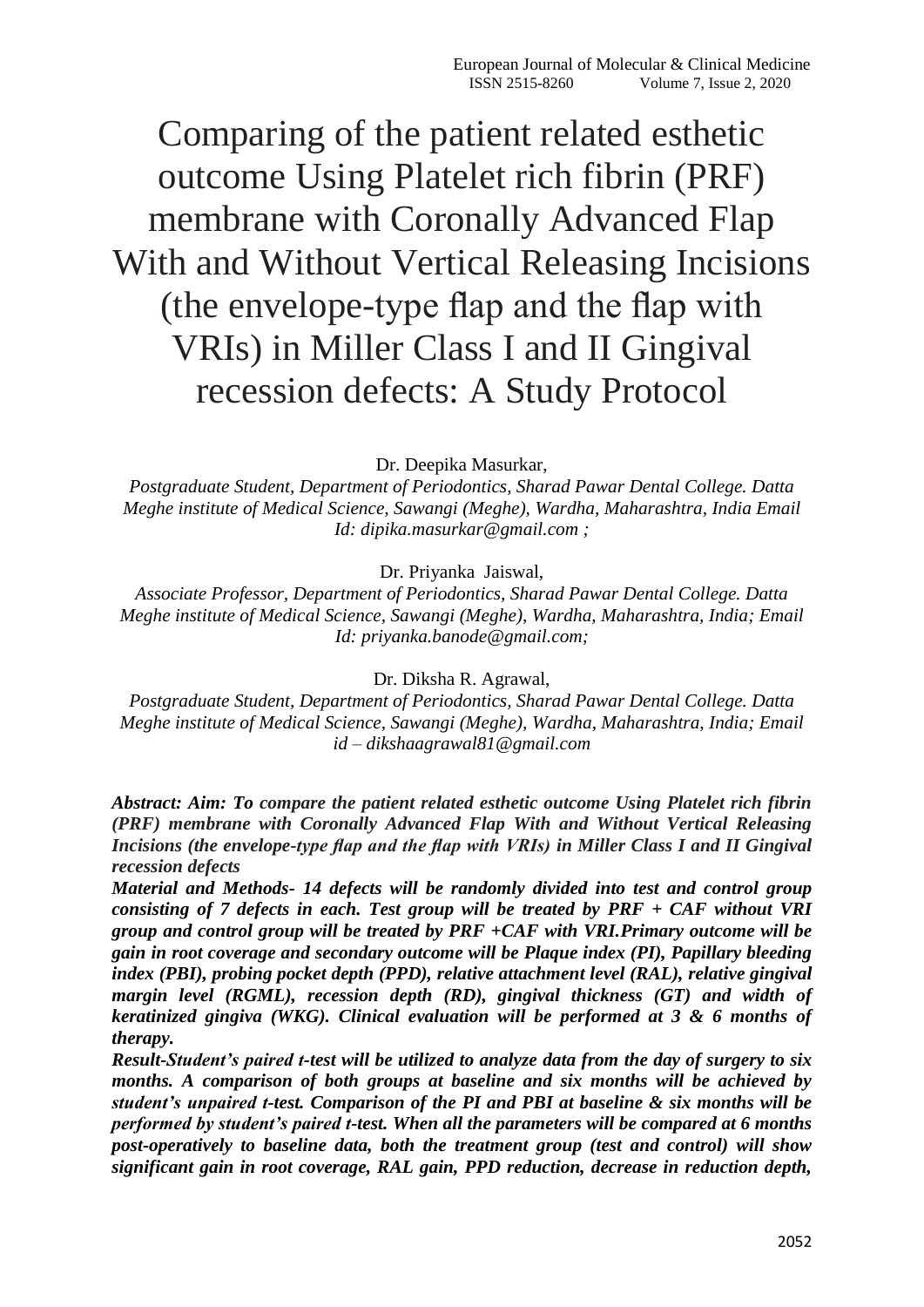Comparing of the patient related esthetic outcome Using Platelet rich fibrin (PRF) membrane with Coronally Advanced Flap With and Without Vertical Releasing Incisions (the envelope-type flap and the flap with VRIs) in Miller Class I and II Gingival recession defects: A Study Protocol

Dr. Deepika Masurkar,

*Postgraduate Student, Department of Periodontics, Sharad Pawar Dental College. Datta Meghe institute of Medical Science, Sawangi (Meghe), Wardha, Maharashtra, India Email Id: dipika.masurkar@gmail.com ;*

Dr. Priyanka Jaiswal,

*Associate Professor, Department of Periodontics, Sharad Pawar Dental College. Datta Meghe institute of Medical Science, Sawangi (Meghe), Wardha, Maharashtra, India; Email Id: priyanka.banode@gmail.com;* 

Dr. Diksha R. Agrawal,

*Postgraduate Student, Department of Periodontics, Sharad Pawar Dental College. Datta Meghe institute of Medical Science, Sawangi (Meghe), Wardha, Maharashtra, India; Email id – dikshaagrawal81@gmail.com* 

*Abstract: Aim: To compare the patient related esthetic outcome Using Platelet rich fibrin (PRF) membrane with Coronally Advanced Flap With and Without Vertical Releasing Incisions (the envelope-type flap and the flap with VRIs) in Miller Class I and II Gingival recession defects*

*Material and Methods- 14 defects will be randomly divided into test and control group consisting of 7 defects in each. Test group will be treated by PRF + CAF without VRI group and control group will be treated by PRF +CAF with VRI.Primary outcome will be gain in root coverage and secondary outcome will be Plaque index (PI), Papillary bleeding index (PBI), probing pocket depth (PPD), relative attachment level (RAL), relative gingival margin level (RGML), recession depth (RD), gingival thickness (GT) and width of keratinized gingiva (WKG). Clinical evaluation will be performed at 3 & 6 months of therapy.*

*Result-Student's paired t-test will be utilized to analyze data from the day of surgery to six months. A comparison of both groups at baseline and six months will be achieved by student's unpaired t-test. Comparison of the PI and PBI at baseline & six months will be performed by student's paired t-test. When all the parameters will be compared at 6 months post-operatively to baseline data, both the treatment group (test and control) will show significant gain in root coverage, RAL gain, PPD reduction, decrease in reduction depth,*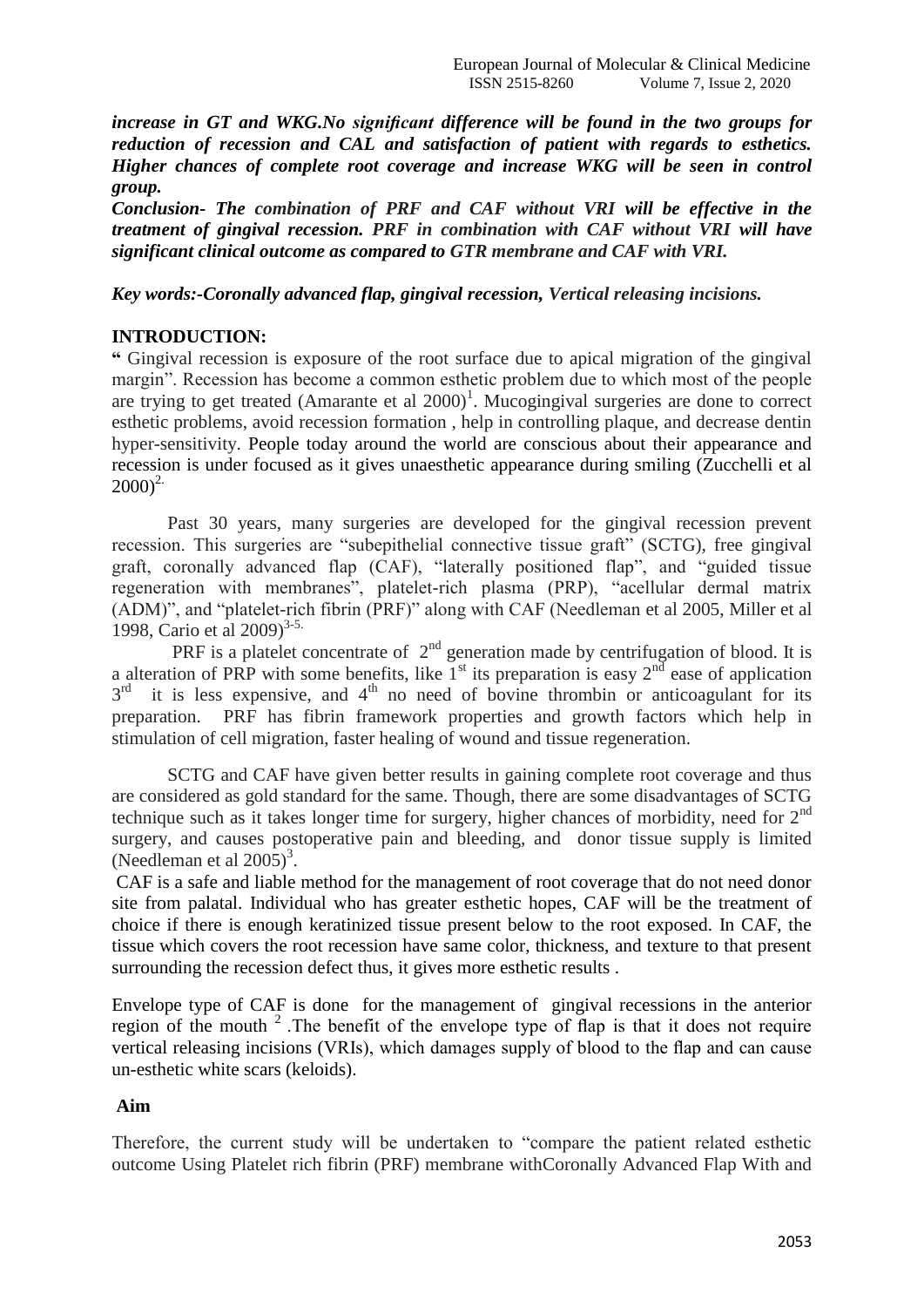*increase in GT and WKG.No significant difference will be found in the two groups for reduction of recession and CAL and satisfaction of patient with regards to esthetics. Higher chances of complete root coverage and increase WKG will be seen in control group.*

*Conclusion- The combination of PRF and CAF without VRI will be effective in the treatment of gingival recession. PRF in combination with CAF without VRI will have significant clinical outcome as compared to GTR membrane and CAF with VRI.*

#### *Key words:-Coronally advanced flap, gingival recession, Vertical releasing incisions.*

## **INTRODUCTION:**

**"** Gingival recession is exposure of the root surface due to apical migration of the gingival margin". Recession has become a common esthetic problem due to which most of the people are trying to get treated  $(Am$ arante et al  $2000)^1$ . Mucogingival surgeries are done to correct esthetic problems, avoid recession formation , help in controlling plaque, and decrease dentin hyper-sensitivity. People today around the world are conscious about their appearance and recession is under focused as it gives unaesthetic appearance during smiling (Zucchelli et al  $2000^{2}$ 

Past 30 years, many surgeries are developed for the gingival recession prevent recession. This surgeries are "subepithelial connective tissue graft" (SCTG), free gingival graft, coronally advanced flap (CAF), "laterally positioned flap", and "guided tissue regeneration with membranes", platelet-rich plasma (PRP), "acellular dermal matrix (ADM)", and "platelet-rich fibrin (PRF)" along with CAF (Needleman et al 2005, Miller et al 1998, Cario et al  $2009$ <sup>3-5.</sup>

PRF is a platelet concentrate of  $2<sup>nd</sup>$  generation made by centrifugation of blood. It is a alteration of PRP with some benefits, like  $1<sup>st</sup>$  its preparation is easy  $2<sup>nd</sup>$  ease of application 3 rd it is less expensive, and  $4<sup>th</sup>$  no need of bovine thrombin or anticoagulant for its preparation. PRF has fibrin framework properties and growth factors which help in stimulation of cell migration, faster healing of wound and tissue regeneration.

SCTG and CAF have given better results in gaining complete root coverage and thus are considered as gold standard for the same. Though, there are some disadvantages of SCTG technique such as it takes longer time for surgery, higher chances of morbidity, need for  $2<sup>nd</sup>$ surgery, and causes postoperative pain and bleeding, and donor tissue supply is limited (Needleman et al  $2005$ )<sup>3</sup>.

CAF is a safe and liable method for the management of root coverage that do not need donor site from palatal. Individual who has greater esthetic hopes, CAF will be the treatment of choice if there is enough keratinized tissue present below to the root exposed. In CAF, the tissue which covers the root recession have same color, thickness, and texture to that present surrounding the recession defect thus, it gives more esthetic results .

Envelope type of CAF is done for the management of gingival recessions in the anterior region of the mouth  $2$ . The benefit of the envelope type of flap is that it does not require vertical releasing incisions (VRIs), which damages supply of blood to the flap and can cause un-esthetic white scars (keloids).

### **Aim**

Therefore, the current study will be undertaken to "compare the patient related esthetic outcome Using Platelet rich fibrin (PRF) membrane withCoronally Advanced Flap With and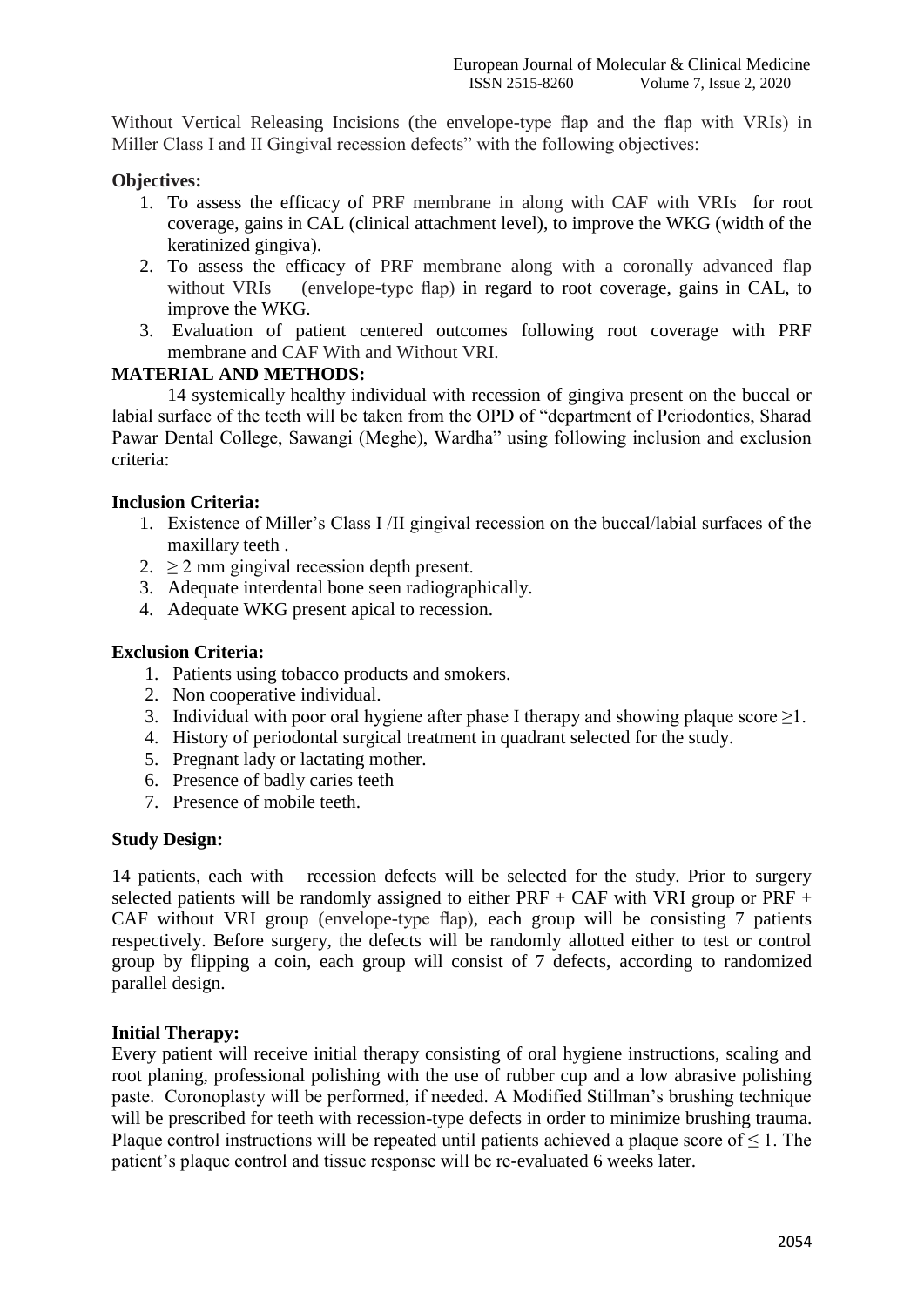Without Vertical Releasing Incisions (the envelope-type flap and the flap with VRIs) in Miller Class I and II Gingival recession defects" with the following objectives:

### **Objectives:**

- 1. To assess the efficacy of PRF membrane in along with CAF with VRIs for root coverage, gains in CAL (clinical attachment level), to improve the WKG (width of the keratinized gingiva).
- 2. To assess the efficacy of PRF membrane along with a coronally advanced flap without VRIs (envelope-type flap) in regard to root coverage, gains in CAL, to improve the WKG.
- 3. Evaluation of patient centered outcomes following root coverage with PRF membrane and CAF With and Without VRI.

### **MATERIAL AND METHODS:**

14 systemically healthy individual with recession of gingiva present on the buccal or labial surface of the teeth will be taken from the OPD of "department of Periodontics, Sharad Pawar Dental College, Sawangi (Meghe), Wardha" using following inclusion and exclusion criteria:

## **Inclusion Criteria:**

- 1. Existence of Miller's Class I /II gingival recession on the buccal/labial surfaces of the maxillary teeth .
- $2. > 2$  mm gingival recession depth present.
- 3. Adequate interdental bone seen radiographically.
- 4. Adequate WKG present apical to recession.

### **Exclusion Criteria:**

- 1. Patients using tobacco products and smokers.
- 2. Non cooperative individual.
- 3. Individual with poor oral hygiene after phase I therapy and showing plaque score  $\geq 1$ .
- 4. History of periodontal surgical treatment in quadrant selected for the study.
- 5. Pregnant lady or lactating mother.
- 6. Presence of badly caries teeth
- 7. Presence of mobile teeth.

### **Study Design:**

14 patients, each with recession defects will be selected for the study. Prior to surgery selected patients will be randomly assigned to either  $PRF + CAF$  with VRI group or  $PRF +$ CAF without VRI group (envelope-type flap), each group will be consisting 7 patients respectively. Before surgery, the defects will be randomly allotted either to test or control group by flipping a coin, each group will consist of 7 defects, according to randomized parallel design.

### **Initial Therapy:**

Every patient will receive initial therapy consisting of oral hygiene instructions, scaling and root planing, professional polishing with the use of rubber cup and a low abrasive polishing paste. Coronoplasty will be performed, if needed. A Modified Stillman's brushing technique will be prescribed for teeth with recession-type defects in order to minimize brushing trauma. Plaque control instructions will be repeated until patients achieved a plaque score of  $\leq 1$ . The patient's plaque control and tissue response will be re-evaluated 6 weeks later.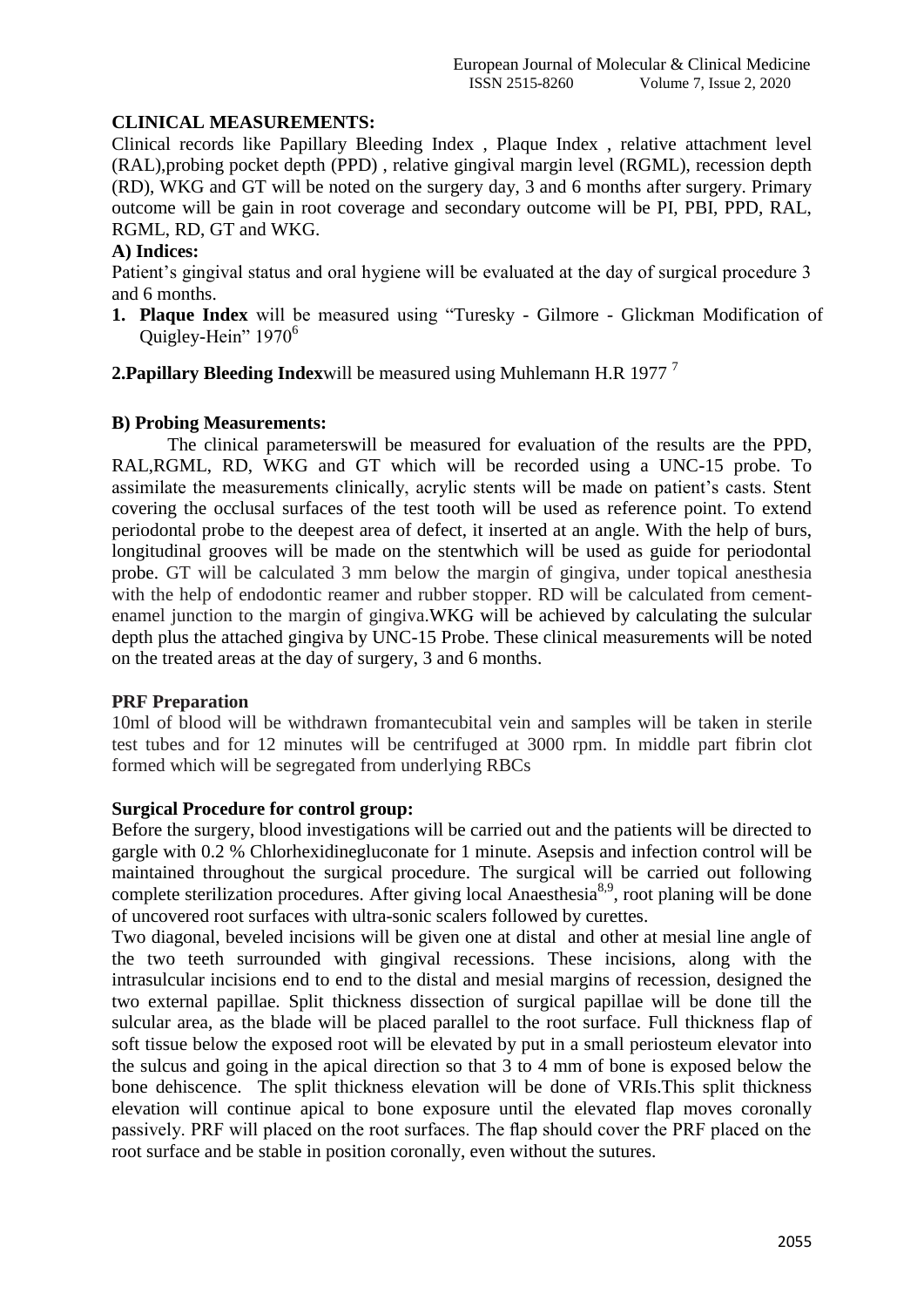# **CLINICAL MEASUREMENTS:**

Clinical records like Papillary Bleeding Index , Plaque Index , relative attachment level (RAL),probing pocket depth (PPD) , relative gingival margin level (RGML), recession depth (RD), WKG and GT will be noted on the surgery day, 3 and 6 months after surgery. Primary outcome will be gain in root coverage and secondary outcome will be PI, PBI, PPD, RAL, RGML, RD, GT and WKG.

## **A) Indices:**

Patient's gingival status and oral hygiene will be evaluated at the day of surgical procedure 3 and 6 months.

- **1. Plaque Index** will be measured using "Turesky Gilmore Glickman Modification of Quigley-Hein" 1970<sup>6</sup>
- **2.Papillary Bleeding Index**will be measured using Muhlemann H.R 1977 <sup>7</sup>

## **B) Probing Measurements:**

The clinical parameterswill be measured for evaluation of the results are the PPD, RAL,RGML, RD, WKG and GT which will be recorded using a UNC-15 probe. To assimilate the measurements clinically, acrylic stents will be made on patient's casts. Stent covering the occlusal surfaces of the test tooth will be used as reference point. To extend periodontal probe to the deepest area of defect, it inserted at an angle. With the help of burs, longitudinal grooves will be made on the stentwhich will be used as guide for periodontal probe. GT will be calculated 3 mm below the margin of gingiva, under topical anesthesia with the help of endodontic reamer and rubber stopper. RD will be calculated from cementenamel junction to the margin of gingiva.WKG will be achieved by calculating the sulcular depth plus the attached gingiva by UNC-15 Probe. These clinical measurements will be noted on the treated areas at the day of surgery, 3 and 6 months.

### **PRF Preparation**

10ml of blood will be withdrawn fromantecubital vein and samples will be taken in sterile test tubes and for 12 minutes will be centrifuged at 3000 rpm. In middle part fibrin clot formed which will be segregated from underlying RBCs

### **Surgical Procedure for control group:**

Before the surgery, blood investigations will be carried out and the patients will be directed to gargle with 0.2 % Chlorhexidinegluconate for 1 minute. Asepsis and infection control will be maintained throughout the surgical procedure. The surgical will be carried out following complete sterilization procedures. After giving local Anaesthesia<sup>8,9</sup>, root planing will be done of uncovered root surfaces with ultra-sonic scalers followed by curettes.

Two diagonal, beveled incisions will be given one at distal and other at mesial line angle of the two teeth surrounded with gingival recessions. These incisions, along with the intrasulcular incisions end to end to the distal and mesial margins of recession, designed the two external papillae. Split thickness dissection of surgical papillae will be done till the sulcular area, as the blade will be placed parallel to the root surface. Full thickness flap of soft tissue below the exposed root will be elevated by put in a small periosteum elevator into the sulcus and going in the apical direction so that 3 to 4 mm of bone is exposed below the bone dehiscence. The split thickness elevation will be done of VRIs.This split thickness elevation will continue apical to bone exposure until the elevated flap moves coronally passively. PRF will placed on the root surfaces. The flap should cover the PRF placed on the root surface and be stable in position coronally, even without the sutures.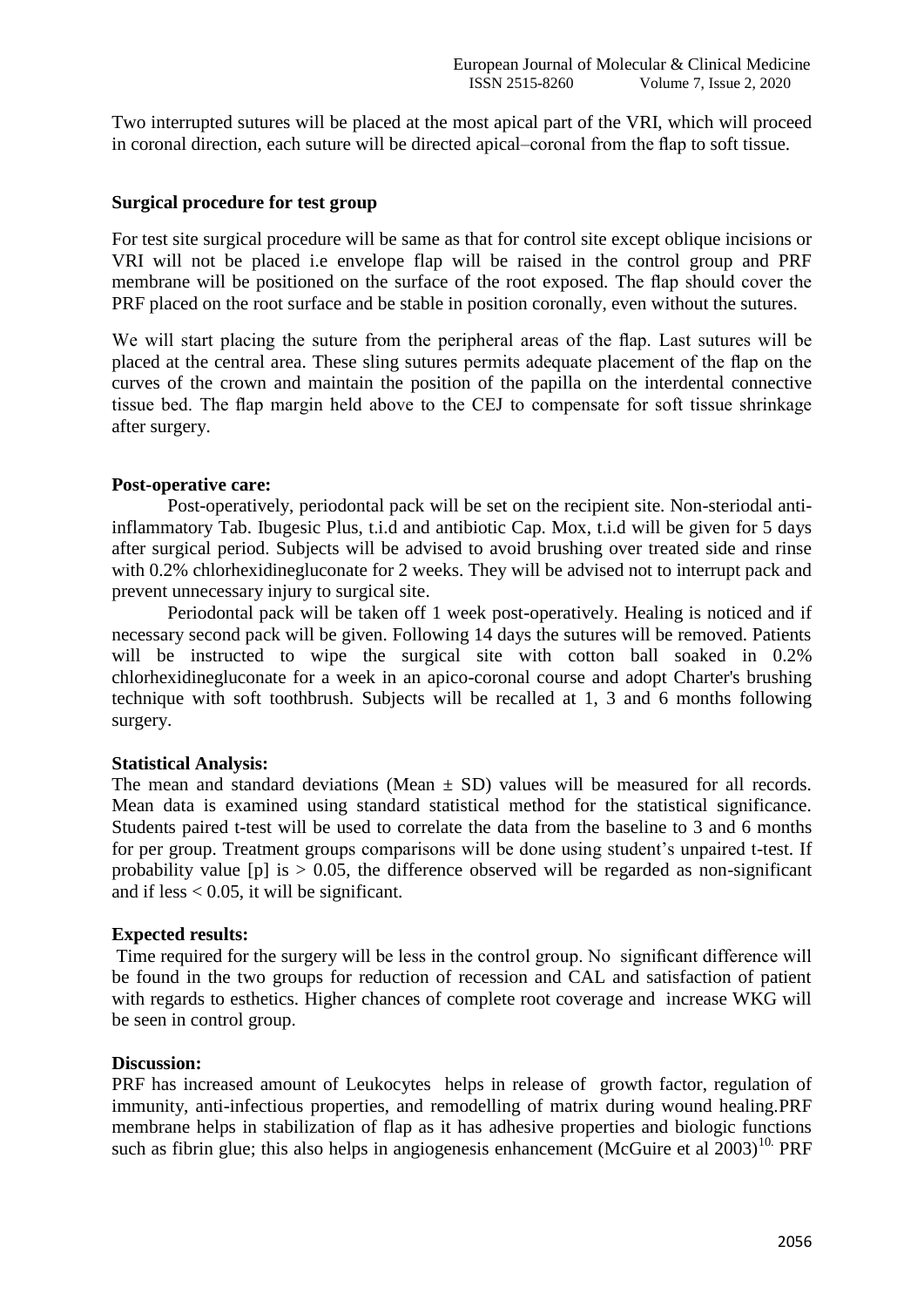Two interrupted sutures will be placed at the most apical part of the VRI, which will proceed in coronal direction, each suture will be directed apical–coronal from the flap to soft tissue.

#### **Surgical procedure for test group**

For test site surgical procedure will be same as that for control site except oblique incisions or VRI will not be placed i.e envelope flap will be raised in the control group and PRF membrane will be positioned on the surface of the root exposed. The flap should cover the PRF placed on the root surface and be stable in position coronally, even without the sutures.

We will start placing the suture from the peripheral areas of the flap. Last sutures will be placed at the central area. These sling sutures permits adequate placement of the flap on the curves of the crown and maintain the position of the papilla on the interdental connective tissue bed. The flap margin held above to the CEJ to compensate for soft tissue shrinkage after surgery.

### **Post-operative care:**

Post-operatively, periodontal pack will be set on the recipient site. Non-steriodal antiinflammatory Tab. Ibugesic Plus, t.i.d and antibiotic Cap. Mox, t.i.d will be given for 5 days after surgical period. Subjects will be advised to avoid brushing over treated side and rinse with 0.2% chlorhexidinegluconate for 2 weeks. They will be advised not to interrupt pack and prevent unnecessary injury to surgical site.

Periodontal pack will be taken off 1 week post-operatively. Healing is noticed and if necessary second pack will be given. Following 14 days the sutures will be removed. Patients will be instructed to wipe the surgical site with cotton ball soaked in 0.2% chlorhexidinegluconate for a week in an apico-coronal course and adopt Charter's brushing technique with soft toothbrush. Subjects will be recalled at 1, 3 and 6 months following surgery.

#### **Statistical Analysis:**

The mean and standard deviations (Mean  $\pm$  SD) values will be measured for all records. Mean data is examined using standard statistical method for the statistical significance. Students paired t-test will be used to correlate the data from the baseline to 3 and 6 months for per group. Treatment groups comparisons will be done using student's unpaired t-test. If probability value [p] is  $> 0.05$ , the difference observed will be regarded as non-significant and if  $less < 0.05$ , it will be significant.

### **Expected results:**

Time required for the surgery will be less in the control group. No significant difference will be found in the two groups for reduction of recession and CAL and satisfaction of patient with regards to esthetics. Higher chances of complete root coverage and increase WKG will be seen in control group.

### **Discussion:**

PRF has increased amount of Leukocytes helps in release of growth factor, regulation of immunity, anti-infectious properties, and remodelling of matrix during wound healing.PRF membrane helps in stabilization of flap as it has adhesive properties and biologic functions such as fibrin glue; this also helps in angiogenesis enhancement (McGuire et al  $2003$ )<sup>10.</sup> PRF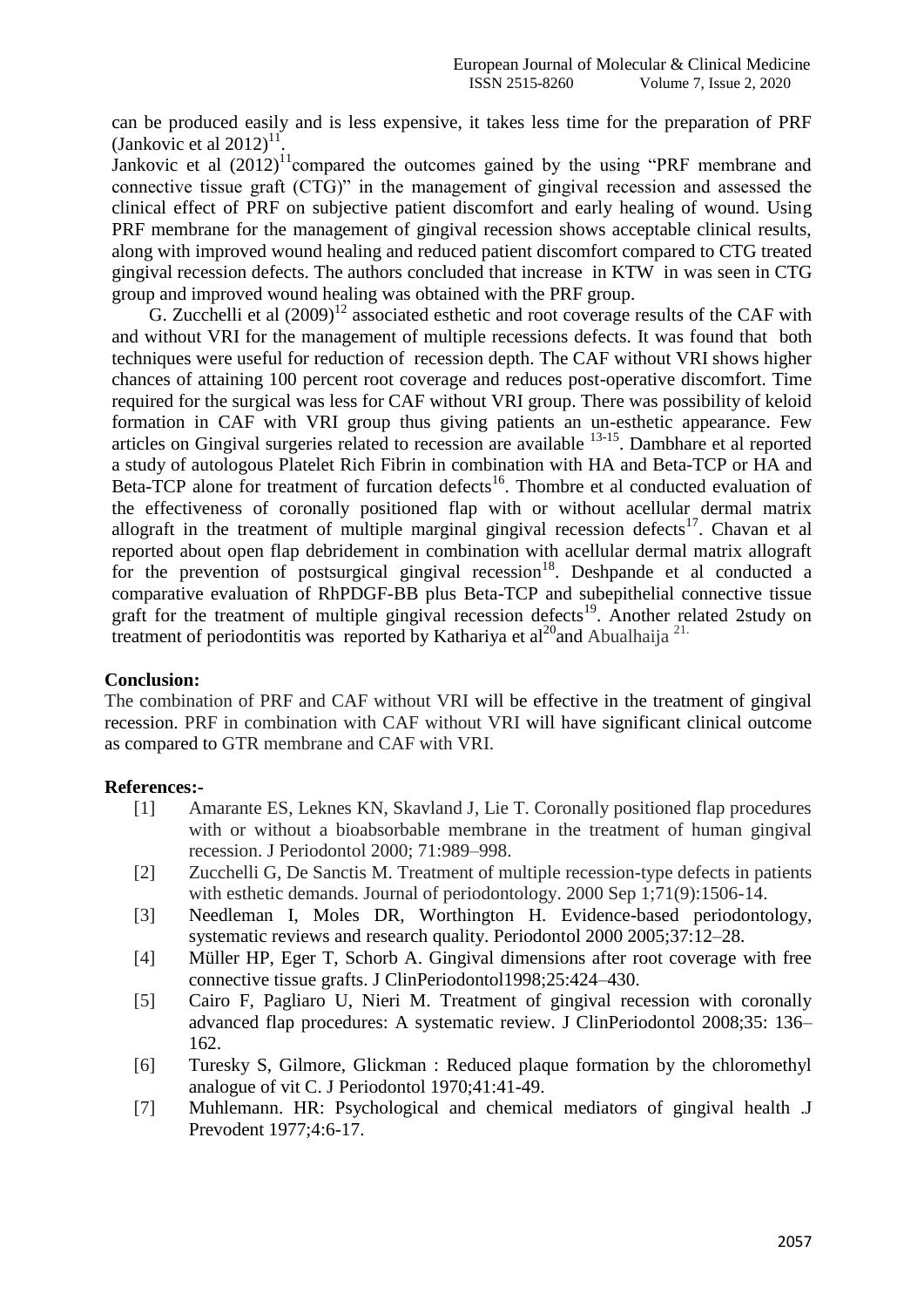can be produced easily and is less expensive, it takes less time for the preparation of PRF (Jankovic et al  $2012$ )<sup>11</sup>.

Jankovic et al  $(2012)^{11}$ compared the outcomes gained by the using "PRF membrane and connective tissue graft (CTG)" in the management of gingival recession and assessed the clinical effect of PRF on subjective patient discomfort and early healing of wound. Using PRF membrane for the management of gingival recession shows acceptable clinical results, along with improved wound healing and reduced patient discomfort compared to CTG treated gingival recession defects. The authors concluded that increase in KTW in was seen in CTG group and improved wound healing was obtained with the PRF group.

G. Zucchelli et al  $(2009)^{12}$  associated esthetic and root coverage results of the CAF with and without VRI for the management of multiple recessions defects. It was found that both techniques were useful for reduction of recession depth. The CAF without VRI shows higher chances of attaining 100 percent root coverage and reduces post-operative discomfort. Time required for the surgical was less for CAF without VRI group. There was possibility of keloid formation in CAF with VRI group thus giving patients an un-esthetic appearance. Few articles on Gingival surgeries related to recession are available 13-15 . Dambhare et al reported a study of autologous Platelet Rich Fibrin in combination with HA and Beta-TCP or HA and Beta-TCP alone for treatment of furcation defects<sup>16</sup>. Thombre et al conducted evaluation of the effectiveness of coronally positioned flap with or without acellular dermal matrix allograft in the treatment of multiple marginal gingival recession defects<sup>17</sup>. Chavan et al reported about open flap debridement in combination with acellular dermal matrix allograft for the prevention of postsurgical gingival recession<sup>18</sup>. Deshpande et al conducted a comparative evaluation of RhPDGF-BB plus Beta-TCP and subepithelial connective tissue graft for the treatment of multiple gingival recession defects<sup>19</sup>. Another related 2study on treatment of periodontitis was reported by Kathariya et al<sup>20</sup>and Abualhaija<sup>21.</sup>

### **Conclusion:**

The combination of PRF and CAF without VRI will be effective in the treatment of gingival recession. PRF in combination with CAF without VRI will have significant clinical outcome as compared to GTR membrane and CAF with VRI.

#### **References:-**

- [1] Amarante ES, Leknes KN, Skavland J, Lie T. Coronally positioned flap procedures with or without a bioabsorbable membrane in the treatment of human gingival recession. J Periodontol 2000; 71:989–998.
- [2] Zucchelli G, De Sanctis M. Treatment of multiple recession-type defects in patients with esthetic demands. Journal of periodontology. 2000 Sep 1;71(9):1506-14.
- [3] Needleman I, Moles DR, Worthington H. Evidence-based periodontology, systematic reviews and research quality. Periodontol 2000 2005;37:12–28.
- [4] Müller HP, Eger T, Schorb A. Gingival dimensions after root coverage with free connective tissue grafts. J ClinPeriodontol1998;25:424–430.
- [5] Cairo F, Pagliaro U, Nieri M. Treatment of gingival recession with coronally advanced flap procedures: A systematic review. J ClinPeriodontol 2008;35: 136– 162.
- [6] Turesky S, Gilmore, Glickman : Reduced plaque formation by the chloromethyl analogue of vit C. J Periodontol 1970;41:41-49.
- [7] Muhlemann. HR: Psychological and chemical mediators of gingival health .J Prevodent 1977;4:6-17.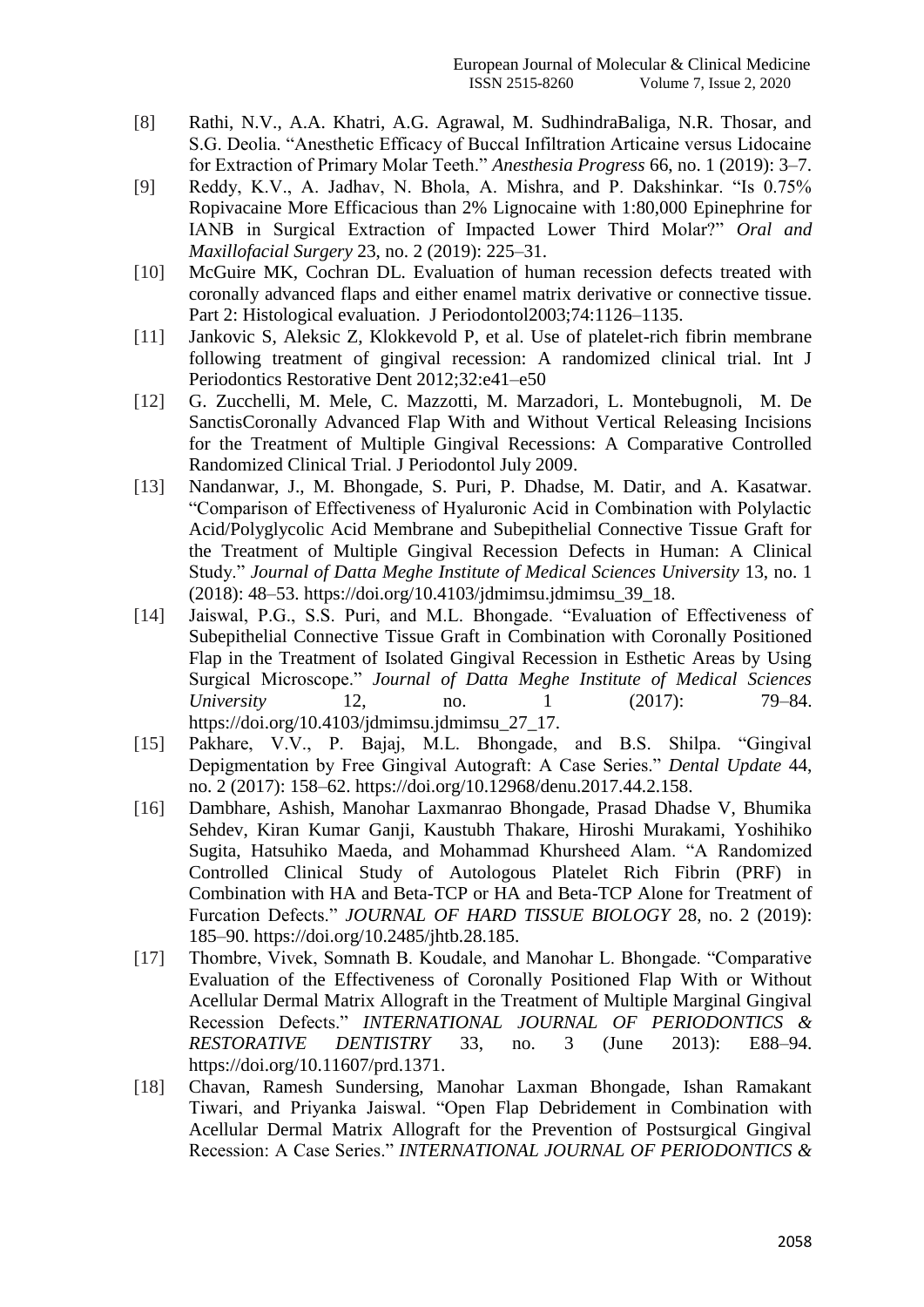- [8] Rathi, N.V., A.A. Khatri, A.G. Agrawal, M. SudhindraBaliga, N.R. Thosar, and S.G. Deolia. "Anesthetic Efficacy of Buccal Infiltration Articaine versus Lidocaine for Extraction of Primary Molar Teeth." *Anesthesia Progress* 66, no. 1 (2019): 3–7.
- [9] Reddy, K.V., A. Jadhav, N. Bhola, A. Mishra, and P. Dakshinkar. "Is 0.75% Ropivacaine More Efficacious than 2% Lignocaine with 1:80,000 Epinephrine for IANB in Surgical Extraction of Impacted Lower Third Molar?" *Oral and Maxillofacial Surgery* 23, no. 2 (2019): 225–31.
- [10] McGuire MK, Cochran DL. Evaluation of human recession defects treated with coronally advanced flaps and either enamel matrix derivative or connective tissue. Part 2: Histological evaluation. J Periodontol2003;74:1126–1135.
- [11] Jankovic S, Aleksic Z, Klokkevold P, et al. Use of platelet-rich fibrin membrane following treatment of gingival recession: A randomized clinical trial. Int J Periodontics Restorative Dent 2012;32:e41–e50
- [12] G. Zucchelli, M. Mele, C. Mazzotti, M. Marzadori, L. Montebugnoli, M. De SanctisCoronally Advanced Flap With and Without Vertical Releasing Incisions for the Treatment of Multiple Gingival Recessions: A Comparative Controlled Randomized Clinical Trial. J Periodontol July 2009.
- [13] Nandanwar, J., M. Bhongade, S. Puri, P. Dhadse, M. Datir, and A. Kasatwar. "Comparison of Effectiveness of Hyaluronic Acid in Combination with Polylactic Acid/Polyglycolic Acid Membrane and Subepithelial Connective Tissue Graft for the Treatment of Multiple Gingival Recession Defects in Human: A Clinical Study." *Journal of Datta Meghe Institute of Medical Sciences University* 13, no. 1 (2018): 48–53. https://doi.org/10.4103/jdmimsu.jdmimsu\_39\_18.
- [14] Jaiswal, P.G., S.S. Puri, and M.L. Bhongade. "Evaluation of Effectiveness of Subepithelial Connective Tissue Graft in Combination with Coronally Positioned Flap in the Treatment of Isolated Gingival Recession in Esthetic Areas by Using Surgical Microscope." *Journal of Datta Meghe Institute of Medical Sciences University* 12, no. 1 (2017): 79–84. https://doi.org/10.4103/jdmimsu.jdmimsu\_27\_17.
- [15] Pakhare, V.V., P. Bajaj, M.L. Bhongade, and B.S. Shilpa. "Gingival Depigmentation by Free Gingival Autograft: A Case Series." *Dental Update* 44, no. 2 (2017): 158–62. https://doi.org/10.12968/denu.2017.44.2.158.
- [16] Dambhare, Ashish, Manohar Laxmanrao Bhongade, Prasad Dhadse V, Bhumika Sehdev, Kiran Kumar Ganji, Kaustubh Thakare, Hiroshi Murakami, Yoshihiko Sugita, Hatsuhiko Maeda, and Mohammad Khursheed Alam. "A Randomized Controlled Clinical Study of Autologous Platelet Rich Fibrin (PRF) in Combination with HA and Beta-TCP or HA and Beta-TCP Alone for Treatment of Furcation Defects." *JOURNAL OF HARD TISSUE BIOLOGY* 28, no. 2 (2019): 185–90. https://doi.org/10.2485/jhtb.28.185.
- [17] Thombre, Vivek, Somnath B. Koudale, and Manohar L. Bhongade. "Comparative Evaluation of the Effectiveness of Coronally Positioned Flap With or Without Acellular Dermal Matrix Allograft in the Treatment of Multiple Marginal Gingival Recession Defects." *INTERNATIONAL JOURNAL OF PERIODONTICS & RESTORATIVE DENTISTRY* 33, no. 3 (June 2013): E88–94. https://doi.org/10.11607/prd.1371.
- [18] Chavan, Ramesh Sundersing, Manohar Laxman Bhongade, Ishan Ramakant Tiwari, and Priyanka Jaiswal. "Open Flap Debridement in Combination with Acellular Dermal Matrix Allograft for the Prevention of Postsurgical Gingival Recession: A Case Series." *INTERNATIONAL JOURNAL OF PERIODONTICS &*